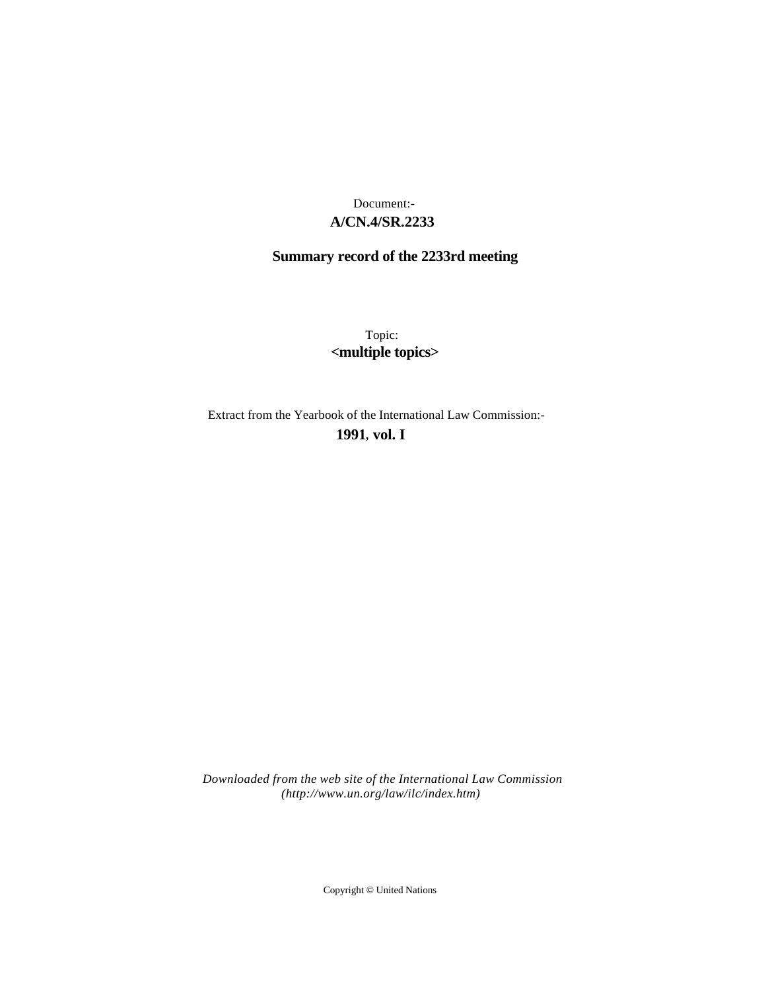## **A/CN.4/SR.2233** Document:-

# **Summary record of the 2233rd meeting**

Topic: **<multiple topics>**

Extract from the Yearbook of the International Law Commission:-

**1991** , **vol. I**

*Downloaded from the web site of the International Law Commission (http://www.un.org/law/ilc/index.htm)*

Copyright © United Nations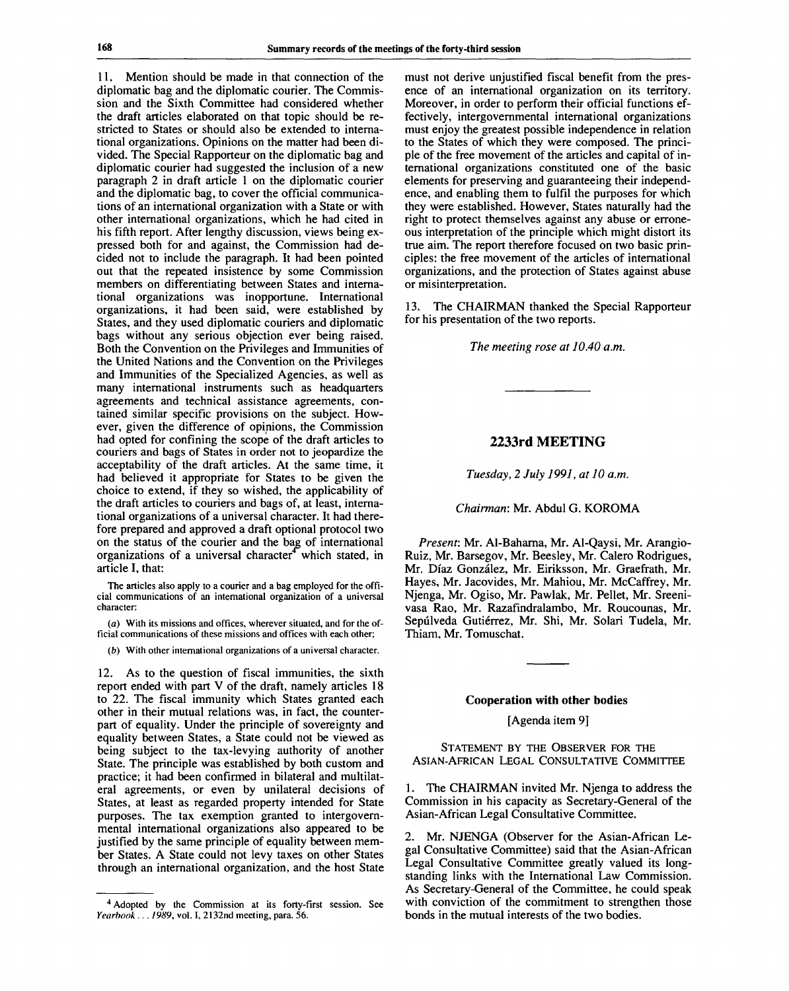11. Mention should be made in that connection of the diplomatic bag and the diplomatic courier. The Commission and the Sixth Committee had considered whether the draft articles elaborated on that topic should be restricted to States or should also be extended to international organizations. Opinions on the matter had been divided. The Special Rapporteur on the diplomatic bag and diplomatic courier had suggested the inclusion of a new paragraph 2 in draft article 1 on the diplomatic courier and the diplomatic bag, to cover the official communications of an international organization with a State or with other international organizations, which he had cited in his fifth report. After lengthy discussion, views being expressed both for and against, the Commission had decided not to include the paragraph. It had been pointed out that the repeated insistence by some Commission members on differentiating between States and international organizations was inopportune. International organizations, it had been said, were established by States, and they used diplomatic couriers and diplomatic bags without any serious objection ever being raised. Both the Convention on the Privileges and Immunities of the United Nations and the Convention on the Privileges and Immunities of the Specialized Agencies, as well as many international instruments such as headquarters agreements and technical assistance agreements, contained similar specific provisions on the subject. However, given the difference of opinions, the Commission had opted for confining the scope of the draft articles to couriers and bags of States in order not to jeopardize the acceptability of the draft articles. At the same time, it had believed it appropriate for States to be given the choice to extend, if they so wished, the applicability of the draft articles to couriers and bags of, at least, international organizations of a universal character. It had therefore prepared and approved a draft optional protocol two on the status of the courier and the bag of international on the status of the council and the bag of international<br>organizations of a universal character<sup>4</sup> which stated, in article I, that:

The articles also apply to a courier and a bag employed for the official communications of an international organization of a universal character:

*(a)* With its missions and offices, wherever situated, and for the official communications of these missions and offices with each other;

*(b)* With other international organizations of a universal character.

12. As to the question of fiscal immunities, the sixth report ended with part V of the draft, namely articles 18 to 22. The fiscal immunity which States granted each other in their mutual relations was, in fact, the counterpart of equality. Under the principle of sovereignty and equality between States, a State could not be viewed as being subject to the tax-levying authority of another State. The principle was established by both custom and practice; it had been confirmed in bilateral and multilateral agreements, or even by unilateral decisions of States, at least as regarded property intended for State purposes. The tax exemption granted to intergovernmental international organizations also appeared to be justified by the same principle of equality between member States. A State could not levy taxes on other States through an international organization, and the host State must not derive unjustified fiscal benefit from the presence of an international organization on its territory. Moreover, in order to perform their official functions effectively, intergovernmental international organizations must enjoy the greatest possible independence in relation to the States of which they were composed. The principle of the free movement of the articles and capital of international organizations constituted one of the basic elements for preserving and guaranteeing their independence, and enabling them to fulfil the purposes for which they were established. However, States naturally had the right to protect themselves against any abuse or erroneous interpretation of the principle which might distort its true aim. The report therefore focused on two basic principles: the free movement of the articles of international organizations, and the protection of States against abuse or misinterpretation.

13. The CHAIRMAN thanked the Special Rapporteur for his presentation of the two reports.

*The meeting rose at 10.40 a.m.*

#### **2233rd MEETING**

*Tuesday, 2 July 1991, at 10 a.m.*

*Chairman:* Mr. Abdul G. KOROMA

*Present:* Mr. Al-Baharna, Mr. Al-Qaysi, Mr. Arangio-Ruiz, Mr. Barsegov, Mr. Beesley, Mr. Calero Rodrigues, Mr. Diaz Gonzalez, Mr. Eiriksson, Mr. Graefrath, Mr. Hayes, Mr. Jacovides, Mr. Mahiou, Mr. McCaffrey, Mr. Njenga, Mr. Ogiso, Mr. Pawlak, Mr. Pellet, Mr. Sreenivasa Rao, Mr. Razafindralambo, Mr. Roucounas, Mr. Sepúlveda Gutiérrez, Mr. Shi, Mr. Solari Tudela, Mr. Thiam, Mr. Tomuschat.

#### Cooperation with other bodies

[Agenda item 9]

STATEMENT BY THE OBSERVER FOR THE ASIAN-AFRICAN LEGAL CONSULTATIVE COMMITTEE

1. The CHAIRMAN invited Mr. Njenga to address the Commission in his capacity as Secretary-General of the Asian-African Legal Consultative Committee.

2. Mr. NJENGA (Observer for the Asian-African Legal Consultative Committee) said that the Asian-African Legal Consultative Committee greatly valued its longstanding links with the International Law Commission. As Secretary-General of the Committee, he could speak with conviction of the commitment to strengthen those bonds in the mutual interests of the two bodies.

<sup>&</sup>lt;sup>4</sup> Adopted by the Commission at its forty-first session. See *Yearbook ... 1989,* vol. I, 2132nd meeting, para. 56.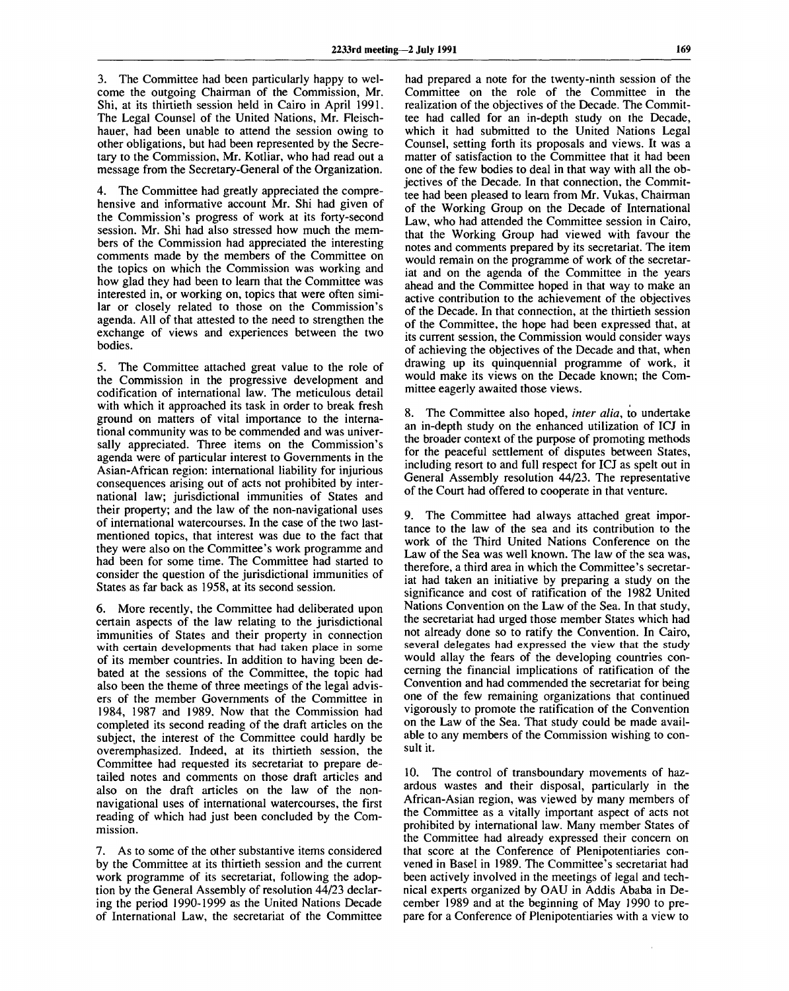3. The Committee had been particularly happy to welcome the outgoing Chairman of the Commission, Mr. Shi, at its thirtieth session held in Cairo in April 1991. The Legal Counsel of the United Nations, Mr. Fleischhauer, had been unable to attend the session owing to other obligations, but had been represented by the Secretary to the Commission, Mr. Kotliar, who had read out a message from the Secretary-General of the Organization.

4. The Committee had greatly appreciated the comprehensive and informative account Mr. Shi had given of the Commission's progress of work at its forty-second session. Mr. Shi had also stressed how much the members of the Commission had appreciated the interesting comments made by the members of the Committee on the topics on which the Commission was working and how glad they had been to learn that the Committee was interested in, or working on, topics that were often similar or closely related to those on the Commission's agenda. All of that attested to the need to strengthen the exchange of views and experiences between the two bodies.

5. The Committee attached great value to the role of the Commission in the progressive development and codification of international law. The meticulous detail with which it approached its task in order to break fresh ground on matters of vital importance to the international community was to be commended and was universally appreciated. Three items on the Commission's agenda were of particular interest to Governments in the Asian-African region: international liability for injurious consequences arising out of acts not prohibited by international law; jurisdictional immunities of States and their property; and the law of the non-navigational uses of international watercourses. In the case of the two lastmentioned topics, that interest was due to the fact that they were also on the Committee's work programme and had been for some time. The Committee had started to consider the question of the jurisdictional immunities of States as far back as 1958, at its second session.

6. More recently, the Committee had deliberated upon certain aspects of the law relating to the jurisdictional immunities of States and their property in connection with certain developments that had taken place in some of its member countries. In addition to having been debated at the sessions of the Committee, the topic had also been the theme of three meetings of the legal advisers of the member Governments of the Committee in 1984, 1987 and 1989. Now that the Commission had completed its second reading of the draft articles on the subject, the interest of the Committee could hardly be overemphasized. Indeed, at its thirtieth session, the Committee had requested its secretariat to prepare detailed notes and comments on those draft articles and also on the draft articles on the law of the nonnavigational uses of international watercourses, the first reading of which had just been concluded by the Commission.

7. As to some of the other substantive items considered by the Committee at its thirtieth session and the current work programme of its secretariat, following the adoption by the General Assembly of resolution 44/23 declaring the period 1990-1999 as the United Nations Decade of International Law, the secretariat of the Committee

had prepared a note for the twenty-ninth session of the Committee on the role of the Committee in the realization of the objectives of the Decade. The Committee had called for an in-depth study on the Decade, which it had submitted to the United Nations Legal Counsel, setting forth its proposals and views. It was a matter of satisfaction to the Committee that it had been one of the few bodies to deal in that way with all the objectives of the Decade. In that connection, the Committee had been pleased to learn from Mr. Vukas, Chairman of the Working Group on the Decade of International Law, who had attended the Committee session in Cairo, that the Working Group had viewed with favour the notes and comments prepared by its secretariat. The item would remain on the programme of work of the secretariat and on the agenda of the Committee in the years ahead and the Committee hoped in that way to make an active contribution to the achievement of the objectives of the Decade. In that connection, at the thirtieth session of the Committee, the hope had been expressed that, at its current session, the Commission would consider ways of achieving the objectives of the Decade and that, when drawing up its quinquennial programme of work, it would make its views on the Decade known; the Committee eagerly awaited those views.

8. The Committee also hoped, *inter alia,* to undertake an in-depth study on the enhanced utilization of ICJ in the broader context of the purpose of promoting methods for the peaceful settlement of disputes between States, including resort to and full respect for ICJ as spelt out in General Assembly resolution 44/23. The representative of the Court had offered to cooperate in that venture.

9. The Committee had always attached great importance to the law of the sea and its contribution to the work of the Third United Nations Conference on the Law of the Sea was well known. The law of the sea was, therefore, a third area in which the Committee's secretariat had taken an initiative by preparing a study on the significance and cost of ratification of the 1982 United Nations Convention on the Law of the Sea. In that study, the secretariat had urged those member States which had not already done so to ratify the Convention. In Cairo, several delegates had expressed the view that the study would allay the fears of the developing countries concerning the financial implications of ratification of the Convention and had commended the secretariat for being one of the few remaining organizations that continued vigorously to promote the ratification of the Convention on the Law of the Sea. That study could be made available to any members of the Commission wishing to consult it.

10. The control of transboundary movements of hazardous wastes and their disposal, particularly in the African-Asian region, was viewed by many members of the Committee as a vitally important aspect of acts not prohibited by international law. Many member States of the Committee had already expressed their concern on that score at the Conference of Plenipotentiaries convened in Basel in 1989. The Committee's secretariat had been actively involved in the meetings of legal and technical experts organized by OAU in Addis Ababa in December 1989 and at the beginning of May 1990 to prepare for a Conference of Plenipotentiaries with a view to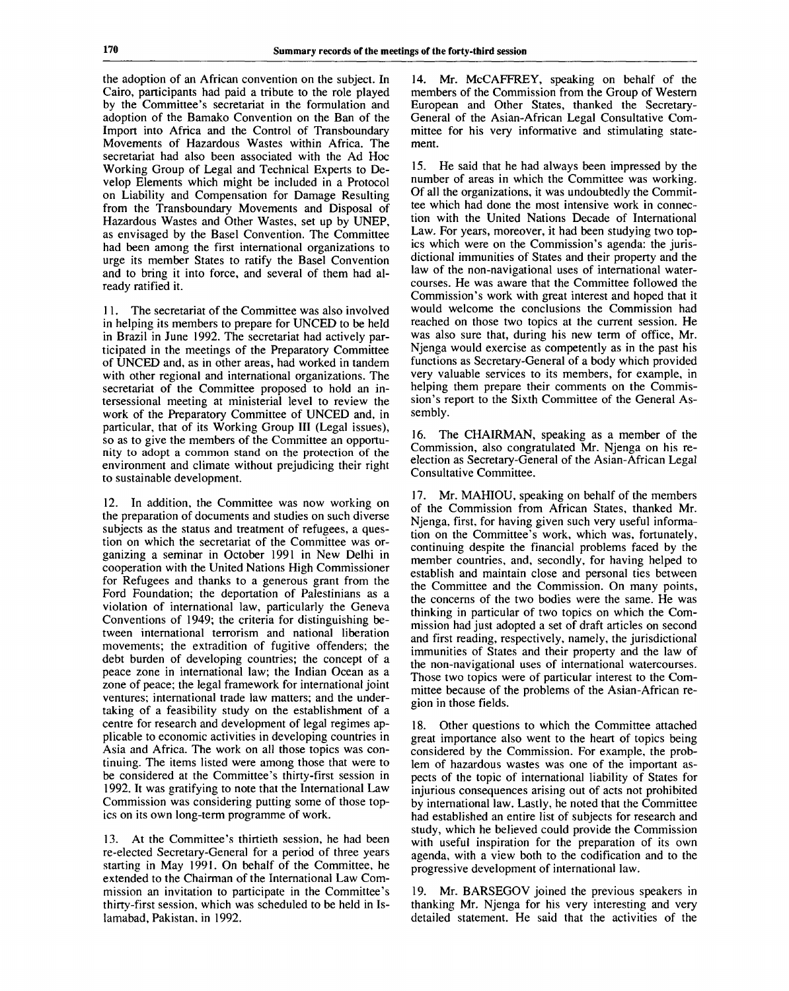the adoption of an African convention on the subject. In Cairo, participants had paid a tribute to the role played by the Committee's secretariat in the formulation and adoption of the Bamako Convention on the Ban of the Import into Africa and the Control of Transboundary Movements of Hazardous Wastes within Africa. The secretariat had also been associated with the Ad Hoc Working Group of Legal and Technical Experts to Develop Elements which might be included in a Protocol on Liability and Compensation for Damage Resulting from the Transboundary Movements and Disposal of Hazardous Wastes and Other Wastes, set up by UNEP, as envisaged by the Basel Convention. The Committee had been among the first international organizations to urge its member States to ratify the Basel Convention and to bring it into force, and several of them had already ratified it.

11. The secretariat of the Committee was also involved in helping its members to prepare for UNCED to be held in Brazil in June 1992. The secretariat had actively participated in the meetings of the Preparatory Committee of UNCED and, as in other areas, had worked in tandem with other regional and international organizations. The secretariat of the Committee proposed to hold an intersessional meeting at ministerial level to review the work of the Preparatory Committee of UNCED and, in particular, that of its Working Group III (Legal issues), so as to give the members of the Committee an opportunity to adopt a common stand on the protection of the environment and climate without prejudicing their right to sustainable development.

12. In addition, the Committee was now working on the preparation of documents and studies on such diverse subjects as the status and treatment of refugees, a question on which the secretariat of the Committee was organizing a seminar in October 1991 in New Delhi in cooperation with the United Nations High Commissioner for Refugees and thanks to a generous grant from the Ford Foundation; the deportation of Palestinians as a violation of international law, particularly the Geneva Conventions of 1949; the criteria for distinguishing between international terrorism and national liberation movements; the extradition of fugitive offenders; the debt burden of developing countries; the concept of a peace zone in international law; the Indian Ocean as a zone of peace; the legal framework for international joint ventures; international trade law matters; and the undertaking of a feasibility study on the establishment of a centre for research and development of legal regimes applicable to economic activities in developing countries in Asia and Africa. The work on all those topics was continuing. The items listed were among those that were to be considered at the Committee's thirty-first session in 1992. It was gratifying to note that the International Law Commission was considering putting some of those topics on its own long-term programme of work.

13. At the Committee's thirtieth session, he had been re-elected Secretary-General for a period of three years starting in May 1991. On behalf of the Committee, he extended to the Chairman of the International Law Commission an invitation to participate in the Committee's thirty-first session, which was scheduled to be held in Islamabad, Pakistan, in 1992.

14. Mr. McCAFFREY, speaking on behalf of the members of the Commission from the Group of Western European and Other States, thanked the Secretary-General of the Asian-African Legal Consultative Committee for his very informative and stimulating statement.

15. He said that he had always been impressed by the number of areas in which the Committee was working. Of all the organizations, it was undoubtedly the Committee which had done the most intensive work in connection with the United Nations Decade of International Law. For years, moreover, it had been studying two topics which were on the Commission's agenda: the jurisdictional immunities of States and their property and the law of the non-navigational uses of international watercourses. He was aware that the Committee followed the Commission's work with great interest and hoped that it would welcome the conclusions the Commission had reached on those two topics at the current session. He was also sure that, during his new term of office, Mr. Njenga would exercise as competently as in the past his functions as Secretary-General of a body which provided very valuable services to its members, for example, in helping them prepare their comments on the Commission's report to the Sixth Committee of the General Assembly.

16. The CHAIRMAN, speaking as a member of the Commission, also congratulated Mr. Njenga on his reelection as Secretary-General of the Asian-African Legal Consultative Committee.

17. Mr. MAHIOU, speaking on behalf of the members of the Commission from African States, thanked Mr. Njenga, first, for having given such very useful information on the Committee's work, which was, fortunately, continuing despite the financial problems faced by the member countries, and, secondly, for having helped to establish and maintain close and personal ties between the Committee and the Commission. On many points, the concerns of the two bodies were the same. He was thinking in particular of two topics on which the Commission had just adopted a set of draft articles on second and first reading, respectively, namely, the jurisdictional immunities of States and their property and the law of the non-navigational uses of international watercourses. Those two topics were of particular interest to the Committee because of the problems of the Asian-African region in those fields.

18. Other questions to which the Committee attached great importance also went to the heart of topics being considered by the Commission. For example, the problem of hazardous wastes was one of the important aspects of the topic of international liability of States for injurious consequences arising out of acts not prohibited by international law. Lastly, he noted that the Committee had established an entire list of subjects for research and study, which he believed could provide the Commission with useful inspiration for the preparation of its own agenda, with a view both to the codification and to the progressive development of international law.

19. Mr. BARSEGOV joined the previous speakers in thanking Mr. Njenga for his very interesting and very detailed statement. He said that the activities of the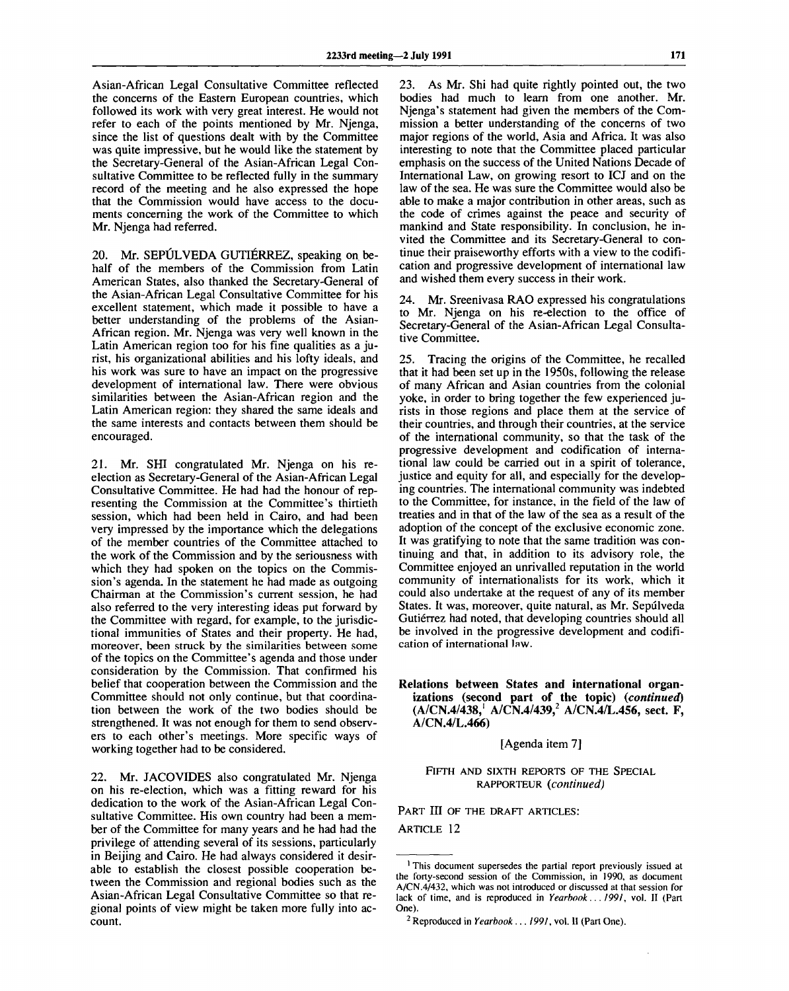Asian-African Legal Consultative Committee reflected the concerns of the Eastern European countries, which followed its work with very great interest. He would not refer to each of the points mentioned by Mr. Njenga, since the list of questions dealt with by the Committee was quite impressive, but he would like the statement by the Secretary-General of the Asian-African Legal Consultative Committee to be reflected fully in the summary record of the meeting and he also expressed the hope that the Commission would have access to the documents concerning the work of the Committee to which Mr. Njenga had referred.

20. Mr. SEPULVEDA GUTIERREZ, speaking on behalf of the members of the Commission from Latin American States, also thanked the Secretary-General of the Asian-African Legal Consultative Committee for his excellent statement, which made it possible to have a better understanding of the problems of the Asian-African region. Mr. Njenga was very well known in the Latin American region too for his fine qualities as a jurist, his organizational abilities and his lofty ideals, and his work was sure to have an impact on the progressive development of international law. There were obvious similarities between the Asian-African region and the Latin American region: they shared the same ideals and the same interests and contacts between them should be encouraged.

21. Mr. SHI congratulated Mr. Njenga on his reelection as Secretary-General of the Asian-African Legal Consultative Committee. He had had the honour of representing the Commission at the Committee's thirtieth session, which had been held in Cairo, and had been very impressed by the importance which the delegations of the member countries of the Committee attached to the work of the Commission and by the seriousness with which they had spoken on the topics on the Commission's agenda. In the statement he had made as outgoing Chairman at the Commission's current session, he had also referred to the very interesting ideas put forward by the Committee with regard, for example, to the jurisdictional immunities of States and their property. He had, moreover, been struck by the similarities between some of the topics on the Committee's agenda and those under consideration by the Commission. That confirmed his belief that cooperation between the Commission and the Committee should not only continue, but that coordination between the work of the two bodies should be strengthened. It was not enough for them to send observers to each other's meetings. More specific ways of working together had to be considered.

22. Mr. JACOVIDES also congratulated Mr. Njenga on his re-election, which was a fitting reward for his dedication to the work of the Asian-African Legal Consultative Committee. His own country had been a member of the Committee for many years and he had had the privilege of attending several of its sessions, particularly in Beijing and Cairo. He had always considered it desirable to establish the closest possible cooperation between the Commission and regional bodies such as the Asian-African Legal Consultative Committee so that regional points of view might be taken more fully into account.

23. As Mr. Shi had quite rightly pointed out, the two bodies had much to learn from one another. Mr. Njenga's statement had given the members of the Commission a better understanding of the concerns of two major regions of the world, Asia and Africa. It was also interesting to note that the Committee placed particular emphasis on the success of the United Nations Decade of International Law, on growing resort to ICJ and on the law of the sea. He was sure the Committee would also be able to make a major contribution in other areas, such as the code of crimes against the peace and security of mankind and State responsibility. In conclusion, he invited the Committee and its Secretary-General to continue their praiseworthy efforts with a view to the codification and progressive development of international law and wished them every success in their work.

24. Mr. Sreenivasa RAO expressed his congratulations to Mr. Njenga on his re-election to the office of Secretary-General of the Asian-African Legal Consultative Committee.

25. Tracing the origins of the Committee, he recalled that it had been set up in the 1950s, following the release of many African and Asian countries from the colonial yoke, in order to bring together the few experienced jurists in those regions and place them at the service of their countries, and through their countries, at the service of the international community, so that the task of the progressive development and codification of international law could be carried out in a spirit of tolerance, justice and equity for all, and especially for the developing countries. The international community was indebted to the Committee, for instance, in the field of the law of treaties and in that of the law of the sea as a result of the adoption of the concept of the exclusive economic zone. It was gratifying to note that the same tradition was continuing and that, in addition to its advisory role, the Committee enjoyed an unrivalled reputation in the world community of internationalists for its work, which it could also undertake at the request of any of its member States. It was, moreover, quite natural, as Mr. Sepúlveda Gutiérrez had noted, that developing countries should all be involved in the progressive development and codification of international Jaw.

**Relations between States and international organizations (second part of the topic)** *(continued)* **(A/CN.4/438,<sup>1</sup> A/CN.4/439,<sup>2</sup> A/CN.4/L.456, sect. F, A/CN.4/L.466)**

[Agenda item 7]

FIFTH AND SIXTH REPORTS OF THE SPECIAL RAPPORTEUR *(continued)*

PART III OF THE DRAFT ARTICLES: ARTICLE 12

<sup>&</sup>lt;sup>1</sup> This document supersedes the partial report previously issued at the forty-second session of the Commission, in 1990, as document A/CN.4/432, which was not introduced or discussed at that session for lack of time, and is reproduced in *Yearbook... 1991,* vol. II (Part One).

<sup>2</sup> Reproduced in *Yearbook ... 199],* vol. II (Part One).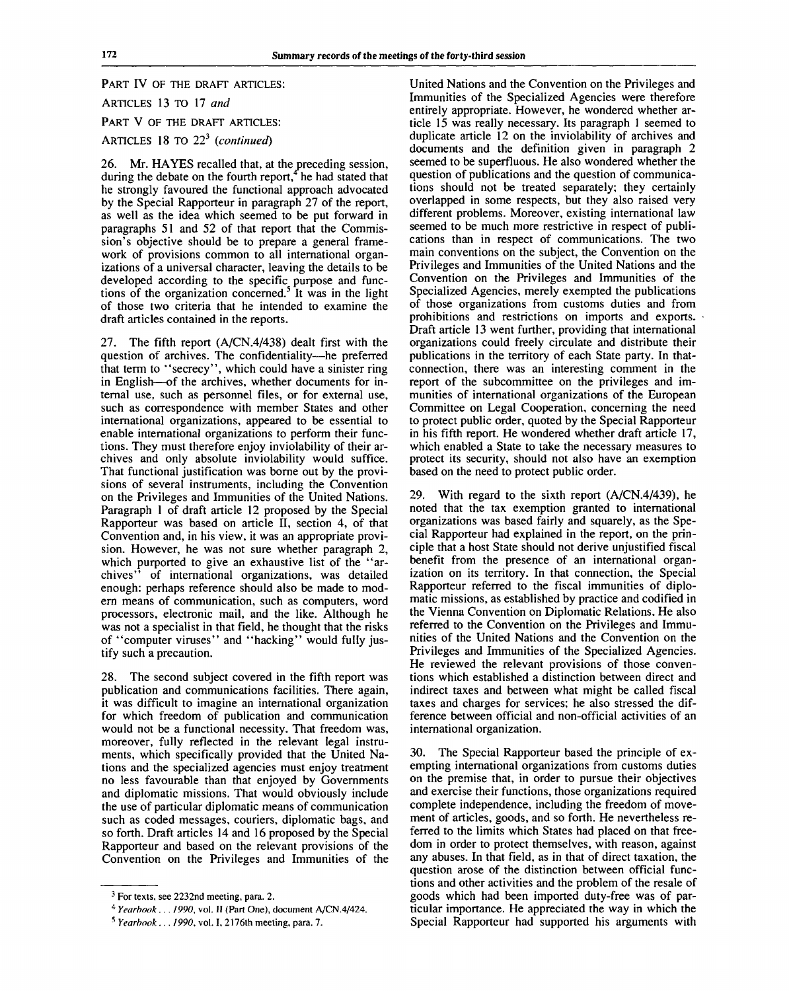PART IV OF THE DRAFT ARTICLES: ARTICLES 13 TO 17 *and* PART V OF THE DRAFT ARTICLES: ARTICLES 18 TO 22<sup>3</sup> (continue

26. Mr. HAYES recalled that, at the preceding session, during the debate on the fourth report,<sup> $\frac{4}{3}$ </sup> he had stated that he strongly favoured the functional approach advocated by the Special Rapporteur in paragraph 27 of the report, as well as the idea which seemed to be put forward in paragraphs 51 and 52 of that report that the Commission's objective should be to prepare a general framework of provisions common to all international organizations of a universal character, leaving the details to be developed according to the specific purpose and functions of the organization concerned.<sup>5</sup> It was in the light of those two criteria that he intended to examine the draft articles contained in the reports.

27. The fifth report (A/CN.4/438) dealt first with the question of archives. The confidentiality—he preferred that term to "secrecy", which could have a sinister ring in English—of the archives, whether documents for internal use, such as personnel files, or for external use, such as correspondence with member States and other international organizations, appeared to be essential to enable international organizations to perform their functions. They must therefore enjoy inviolability of their archives and only absolute inviolability would suffice. That functional justification was borne out by the provisions of several instruments, including the Convention on the Privileges and Immunities of the United Nations. Paragraph 1 of draft article 12 proposed by the Special Rapporteur was based on article II, section 4, of that Convention and, in his view, it was an appropriate provision. However, he was not sure whether paragraph 2, which purported to give an exhaustive list of the "archives" of international organizations, was detailed enough: perhaps reference should also be made to modern means of communication, such as computers, word processors, electronic mail, and the like. Although he was not a specialist in that field, he thought that the risks of "computer viruses" and "hacking" would fully justify such a precaution.

28. The second subject covered in the fifth report was publication and communications facilities. There again, it was difficult to imagine an international organization for which freedom of publication and communication would not be a functional necessity. That freedom was, moreover, fully reflected in the relevant legal instruments, which specifically provided that the United Nations and the specialized agencies must enjoy treatment no less favourable than that enjoyed by Governments and diplomatic missions. That would obviously include the use of particular diplomatic means of communication such as coded messages, couriers, diplomatic bags, and so forth. Draft articles 14 and 16 proposed by the Special Rapporteur and based on the relevant provisions of the Convention on the Privileges and Immunities of the

United Nations and the Convention on the Privileges and Immunities of the Specialized Agencies were therefore entirely appropriate. However, he wondered whether article 15 was really necessary. Its paragraph 1 seemed to duplicate article 12 on the inviolability of archives and documents and the definition given in paragraph 2 seemed to be superfluous. He also wondered whether the question of publications and the question of communications should not be treated separately; they certainly overlapped in some respects, but they also raised very different problems. Moreover, existing international law seemed to be much more restrictive in respect of publications than in respect of communications. The two main conventions on the subject, the Convention on the Privileges and Immunities of the United Nations and the Convention on the Privileges and Immunities of the Specialized Agencies, merely exempted the publications of those organizations from customs duties and from prohibitions and restrictions on imports and exports. Draft article 13 went further, providing that international organizations could freely circulate and distribute their publications in the territory of each State party. In thatconnection, there was an interesting comment in the report of the subcommittee on the privileges and immunities of international organizations of the European Committee on Legal Cooperation, concerning the need to protect public order, quoted by the Special Rapporteur in his fifth report. He wondered whether draft article 17, which enabled a State to take the necessary measures to protect its security, should not also have an exemption based on the need to protect public order.

29. With regard to the sixth report (A/CN.4/439), he noted that the tax exemption granted to international organizations was based fairly and squarely, as the Special Rapporteur had explained in the report, on the principle that a host State should not derive unjustified fiscal benefit from the presence of an international organization on its territory. In that connection, the Special Rapporteur referred to the fiscal immunities of diplomatic missions, as established by practice and codified in the Vienna Convention on Diplomatic Relations. He also referred to the Convention on the Privileges and Immunities of the United Nations and the Convention on the Privileges and Immunities of the Specialized Agencies. He reviewed the relevant provisions of those conventions which established a distinction between direct and indirect taxes and between what might be called fiscal taxes and charges for services; he also stressed the difference between official and non-official activities of an international organization.

30. The Special Rapporteur based the principle of exempting international organizations from customs duties on the premise that, in order to pursue their objectives and exercise their functions, those organizations required complete independence, including the freedom of movement of articles, goods, and so forth. He nevertheless referred to the limits which States had placed on that freedom in order to protect themselves, with reason, against any abuses. In that field, as in that of direct taxation, the question arose of the distinction between official functions and other activities and the problem of the resale of goods which had been imported duty-free was of particular importance. He appreciated the way in which the Special Rapporteur had supported his arguments with

 $3$  For texts, see 2232nd meeting, para. 2.

<sup>4</sup>  *Yearbook ... 1990,* vol. II (Part One), document A/CN.4/424.

<sup>5</sup>  *Yearbook ... 1990,* vol. I, 2176th meeting, para. 7.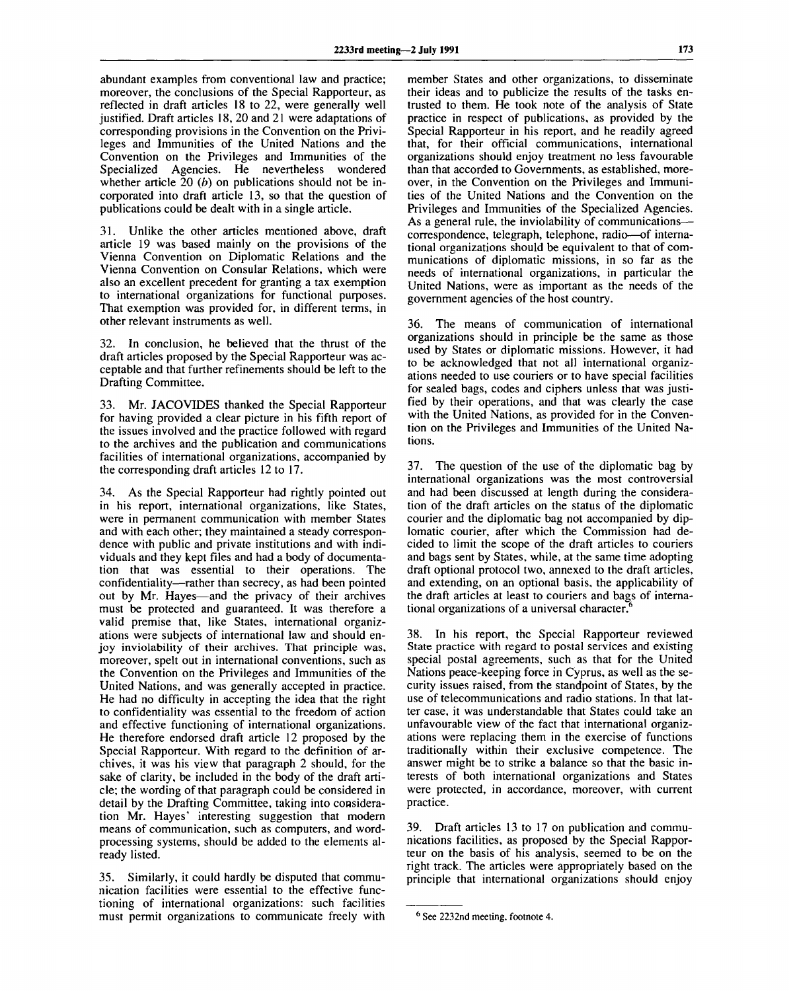abundant examples from conventional law and practice; moreover, the conclusions of the Special Rapporteur, as reflected in draft articles 18 to 22, were generally well justified. Draft articles 18, 20 and 21 were adaptations of corresponding provisions in the Convention on the Privileges and Immunities of the United Nations and the Convention on the Privileges and Immunities of the Specialized Agencies. He nevertheless wondered whether article 20 *(b)* on publications should not be incorporated into draft article 13, so that the question of publications could be dealt with in a single article.

31. Unlike the other articles mentioned above, draft article 19 was based mainly on the provisions of the Vienna Convention on Diplomatic Relations and the Vienna Convention on Consular Relations, which were also an excellent precedent for granting a tax exemption to international organizations for functional purposes. That exemption was provided for, in different terms, in other relevant instruments as well.

In conclusion, he believed that the thrust of the draft articles proposed by the Special Rapporteur was acceptable and that further refinements should be left to the Drafting Committee.

33. Mr. JACOVIDES thanked the Special Rapporteur for having provided a clear picture in his fifth report of the issues involved and the practice followed with regard to the archives and the publication and communications facilities of international organizations, accompanied by the corresponding draft articles 12 to 17.

34. As the Special Rapporteur had rightly pointed out in his report, international organizations, like States, were in permanent communication with member States and with each other; they maintained a steady correspondence with public and private institutions and with individuals and they kept files and had a body of documentation that was essential to their operations. The confidentiality—rather than secrecy, as had been pointed out by Mr. Hayes—and the privacy of their archives must be protected and guaranteed. It was therefore a valid premise that, like States, international organizations were subjects of international law and should enjoy inviolability of their archives. That principle was, moreover, spelt out in international conventions, such as the Convention on the Privileges and Immunities of the United Nations, and was generally accepted in practice. He had no difficulty in accepting the idea that the right to confidentiality was essential to the freedom of action and effective functioning of international organizations. He therefore endorsed draft article 12 proposed by the Special Rapporteur. With regard to the definition of archives, it was his view that paragraph 2 should, for the sake of clarity, be included in the body of the draft article; the wording of that paragraph could be considered in detail by the Drafting Committee, taking into consideration Mr. Hayes' interesting suggestion that modern means of communication, such as computers, and wordprocessing systems, should be added to the elements already listed.

35. Similarly, it could hardly be disputed that communication facilities were essential to the effective functioning of international organizations: such facilities must permit organizations to communicate freely with member States and other organizations, to disseminate their ideas and to publicize the results of the tasks entrusted to them. He took note of the analysis of State practice in respect of publications, as provided by the Special Rapporteur in his report, and he readily agreed that, for their official communications, international organizations should enjoy treatment no less favourable than that accorded to Governments, as established, moreover, in the Convention on the Privileges and Immunities of the United Nations and the Convention on the Privileges and Immunities of the Specialized Agencies. As a general rule, the inviolability of communications correspondence, telegraph, telephone, radio—of international organizations should be equivalent to that of communications of diplomatic missions, in so far as the needs of international organizations, in particular the United Nations, were as important as the needs of the government agencies of the host country.

36. The means of communication of international organizations should in principle be the same as those used by States or diplomatic missions. However, it had to be acknowledged that not all international organizations needed to use couriers or to have special facilities for sealed bags, codes and ciphers unless that was justified by their operations, and that was clearly the case with the United Nations, as provided for in the Convention on the Privileges and Immunities of the United Nations.

37. The question of the use of the diplomatic bag by international organizations was the most controversial and had been discussed at length during the consideration of the draft articles on the status of the diplomatic courier and the diplomatic bag not accompanied by diplomatic courier, after which the Commission had decided to limit the scope of the draft articles to couriers and bags sent by States, while, at the same time adopting draft optional protocol two, annexed to the draft articles, and extending, on an optional basis, the applicability of the draft articles at least to couriers and bags of international organizations of a universal character. $\epsilon$ 

38. In his report, the Special Rapporteur reviewed State practice with regard to postal services and existing special postal agreements, such as that for the United Nations peace-keeping force in Cyprus, as well as the security issues raised, from the standpoint of States, by the use of telecommunications and radio stations. In that latter case, it was understandable that States could take an unfavourable view of the fact that international organizations were replacing them in the exercise of functions traditionally within their exclusive competence. The answer might be to strike a balance so that the basic interests of both international organizations and States were protected, in accordance, moreover, with current practice.

39. Draft articles 13 to 17 on publication and communications facilities, as proposed by the Special Rapporteur on the basis of his analysis, seemed to be on the right track. The articles were appropriately based on the principle that international organizations should enjoy

See 2232nd meeting, footnote 4.